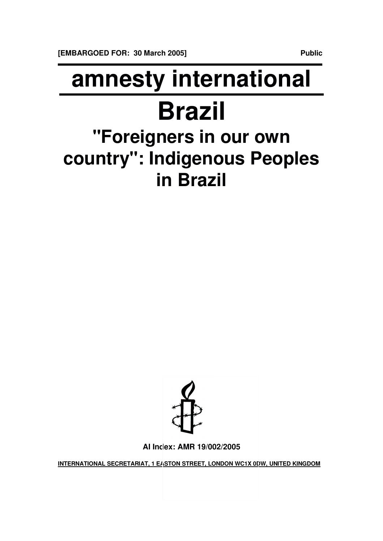# **amnesty international Brazil "Foreigners in our own country": Indigenous Peoples**

**in Brazil**



**AI Index: AMR 19/002/2005**

**INTERNATIONAL SECRETARIAT, 1 EASTON STREET, LONDON WC1X 0DW, UNITED KINGDOM**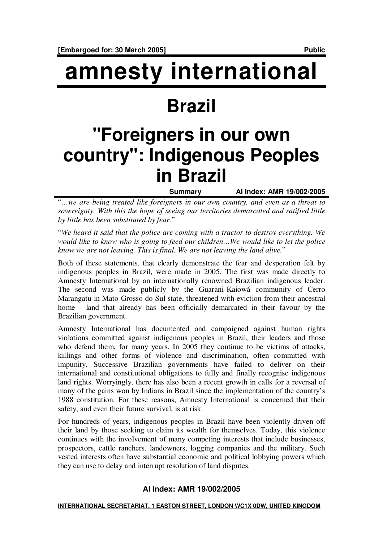### **Brazil**

### **"Foreigners in our own country": Indigenous Peoples in Brazil**

**Summary AI Index: AMR 19/002/2005**

"*…we are being treated like foreigners in our own country, and even as a threat to sovereignty. With this the hope of seeing our territories demarcated and ratified little by little has been substituted by fear.*"

"*We heard it said that the police are coming with a tractor to destroy everything. We would like to know who is going to feed our children…We would like to let the police know we are not leaving. This is final. We are not leaving the land alive.*"

Both of these statements, that clearly demonstrate the fear and desperation felt by indigenous peoples in Brazil, were made in 2005. The first was made directly to Amnesty International by an internationally renowned Brazilian indigenous leader. The second was made publicly by the Guarani-Kaiowá community of Cerro Marangatu in Mato Grosso do Sul state, threatened with eviction from their ancestral home - land that already has been officially demarcated in their favour by the Brazilian government.

Amnesty International has documented and campaigned against human rights violations committed against indigenous peoples in Brazil, their leaders and those who defend them, for many years. In 2005 they continue to be victims of attacks, killings and other forms of violence and discrimination, often committed with impunity. Successive Brazilian governments have failed to deliver on their international and constitutional obligations to fully and finally recognise indigenous land rights. Worryingly, there has also been a recent growth in calls for a reversal of many of the gains won by Indians in Brazil since the implementation of the country's 1988 constitution. For these reasons, Amnesty International is concerned that their safety, and even their future survival, is at risk.

For hundreds of years, indigenous peoples in Brazil have been violently driven off their land by those seeking to claim its wealth for themselves. Today, this violence continues with the involvement of many competing interests that include businesses, prospectors, cattle ranchers, landowners, logging companies and the military. Such vested interests often have substantial economic and political lobbying powers which they can use to delay and interrupt resolution of land disputes.

#### **AI Index: AMR 19/002/2005**

#### **INTERNATIONAL SECRETARIAT, 1 EASTON STREET, LONDON WC1X 0DW, UNITED KINGDOM**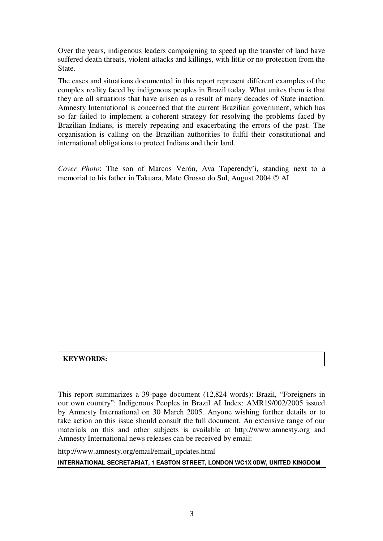Over the years, indigenous leaders campaigning to speed up the transfer of land have suffered death threats, violent attacks and killings, with little or no protection from the State.

The cases and situations documented in this report represent different examples of the complex reality faced by indigenous peoples in Brazil today. What unites them is that they are all situations that have arisen as a result of many decades of State inaction. Amnesty International is concerned that the current Brazilian government, which has so far failed to implement a coherent strategy for resolving the problems faced by Brazilian Indians, is merely repeating and exacerbating the errors of the past. The organisation is calling on the Brazilian authorities to fulfil their constitutional and international obligations to protect Indians and their land.

*Cover Photo*: The son of Marcos Verón, Ava Taperendy'i, standing next to a memorial to his father in Takuara, Mato Grosso do Sul, August 2004.© AI

#### **KEYWORDS:**

This report summarizes a 39-page document (12,824 words): Brazil, "Foreigners in our own country": Indigenous Peoples in Brazil AI Index: AMR19/002/2005 issued by Amnesty International on 30 March 2005. Anyone wishing further details or to take action on this issue should consult the full document. An extensive range of our materials on this and other subjects is available at http://www.amnesty.org and Amnesty International news releases can be received by email:

http://www.amnesty.org/email/email\_updates.html

#### **INTERNATIONAL SECRETARIAT, 1 EASTON STREET, LONDON WC1X 0DW, UNITED KINGDOM**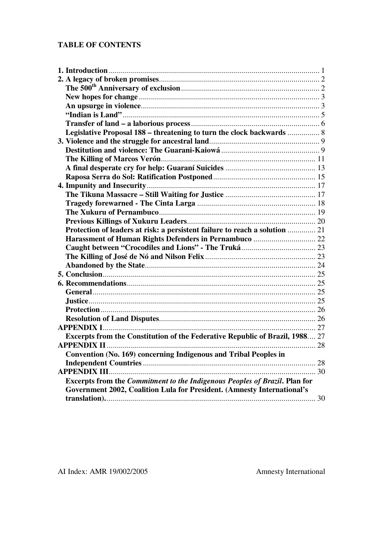#### **TABLE OF CONTENTS**

| Legislative Proposal 188 - threatening to turn the clock backwards  8                                                                                 |  |
|-------------------------------------------------------------------------------------------------------------------------------------------------------|--|
|                                                                                                                                                       |  |
|                                                                                                                                                       |  |
|                                                                                                                                                       |  |
|                                                                                                                                                       |  |
|                                                                                                                                                       |  |
|                                                                                                                                                       |  |
|                                                                                                                                                       |  |
|                                                                                                                                                       |  |
|                                                                                                                                                       |  |
|                                                                                                                                                       |  |
| Protection of leaders at risk: a persistent failure to reach a solution  21                                                                           |  |
|                                                                                                                                                       |  |
|                                                                                                                                                       |  |
|                                                                                                                                                       |  |
|                                                                                                                                                       |  |
|                                                                                                                                                       |  |
|                                                                                                                                                       |  |
|                                                                                                                                                       |  |
|                                                                                                                                                       |  |
|                                                                                                                                                       |  |
|                                                                                                                                                       |  |
|                                                                                                                                                       |  |
| Excerpts from the Constitution of the Federative Republic of Brazil, 1988 27                                                                          |  |
|                                                                                                                                                       |  |
| Convention (No. 169) concerning Indigenous and Tribal Peoples in                                                                                      |  |
|                                                                                                                                                       |  |
| <b>APPENDIX III.</b>                                                                                                                                  |  |
| Excerpts from the Commitment to the Indigenous Peoples of Brazil. Plan for<br>Government 2002, Coalition Lula for President. (Amnesty International's |  |
|                                                                                                                                                       |  |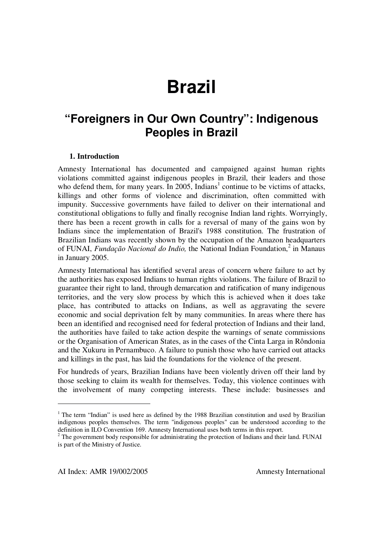## **Brazil**

### **"Foreigners in Our Own Country": Indigenous Peoples in Brazil**

#### **1. Introduction**

Amnesty International has documented and campaigned against human rights violations committed against indigenous peoples in Brazil, their leaders and those who defend them, for many years. In 2005, Indians<sup>1</sup> continue to be victims of attacks, killings and other forms of violence and discrimination, often committed with impunity. Successive governments have failed to deliver on their international and constitutional obligations to fully and finally recognise Indian land rights. Worryingly, there has been a recent growth in calls for a reversal of many of the gains won by Indians since the implementation of Brazil's 1988 constitution. The frustration of Brazilian Indians was recently shown by the occupation of the Amazon headquarters of FUNAI, *Fundação Nacional do Indio,* the National Indian Foundation, 2 in Manaus in January 2005.

Amnesty International has identified several areas of concern where failure to act by the authorities has exposed Indians to human rights violations. The failure of Brazil to guarantee their right to land, through demarcation and ratification of many indigenous territories, and the very slow process by which this is achieved when it does take place, has contributed to attacks on Indians, as well as aggravating the severe economic and social deprivation felt by many communities. In areas where there has been an identified and recognised need for federal protection of Indians and their land, the authorities have failed to take action despite the warnings of senate commissions or the Organisation of American States, as in the cases of the Cinta Larga in Rôndonia and the Xukuru in Pernambuco. A failure to punish those who have carried out attacks and killings in the past, has laid the foundations for the violence of the present.

For hundreds of years, Brazilian Indians have been violently driven off their land by those seeking to claim its wealth for themselves. Today, this violence continues with the involvement of many competing interests. These include: businesses and

 $1$  The term "Indian" is used here as defined by the 1988 Brazilian constitution and used by Brazilian indigenous peoples themselves. The term "indigenous peoples" can be understood according to the definition in ILO Convention 169. Amnesty International uses both terms in this report.

<sup>&</sup>lt;sup>2</sup> The government body responsible for administrating the protection of Indians and their land. FUNAI is part of the Ministry of Justice.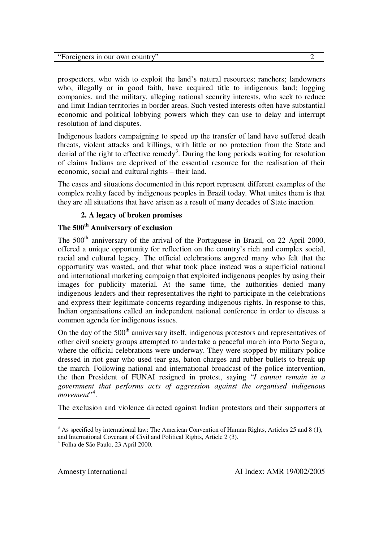prospectors, who wish to exploit the land's natural resources; ranchers; landowners who, illegally or in good faith, have acquired title to indigenous land; logging companies, and the military, alleging national security interests, who seek to reduce and limit Indian territories in border areas. Such vested interests often have substantial economic and political lobbying powers which they can use to delay and interrupt resolution of land disputes.

Indigenous leaders campaigning to speed up the transfer of land have suffered death threats, violent attacks and killings, with little or no protection from the State and denial of the right to effective remedy<sup>3</sup>. During the long periods waiting for resolution of claims Indians are deprived of the essential resource for the realisation of their economic, social and cultural rights – their land.

The cases and situations documented in this report represent different examples of the complex reality faced by indigenous peoples in Brazil today. What unites them is that they are all situations that have arisen as a result of many decades of State inaction.

#### **2. A legacy of broken promises**

#### **The 500 th Anniversary of exclusion**

The 500<sup>th</sup> anniversary of the arrival of the Portuguese in Brazil, on 22 April 2000, offered a unique opportunity for reflection on the country's rich and complex social, racial and cultural legacy. The official celebrations angered many who felt that the opportunity was wasted, and that what took place instead was a superficial national and international marketing campaign that exploited indigenous peoples by using their images for publicity material. At the same time, the authorities denied many indigenous leaders and their representatives the right to participate in the celebrations and express their legitimate concerns regarding indigenous rights. In response to this, Indian organisations called an independent national conference in order to discuss a common agenda for indigenous issues.

On the day of the  $500<sup>th</sup>$  anniversary itself, indigenous protestors and representatives of other civil society groups attempted to undertake a peaceful march into Porto Seguro, where the official celebrations were underway. They were stopped by military police dressed in riot gear who used tear gas, baton charges and rubber bullets to break up the march. Following national and international broadcast of the police intervention, the then President of FUNAI resigned in protest, saying "*I cannot remain in a government that performs acts of aggression against the organised indigenous* movement"<sup>4</sup>.

The exclusion and violence directed against Indian protestors and their supporters at

 $3$  As specified by international law: The American Convention of Human Rights, Articles 25 and 8 (1), and International Covenant of Civil and Political Rights, Article 2 (3).

<sup>4</sup> Folha de São Paulo, 23 April 2000.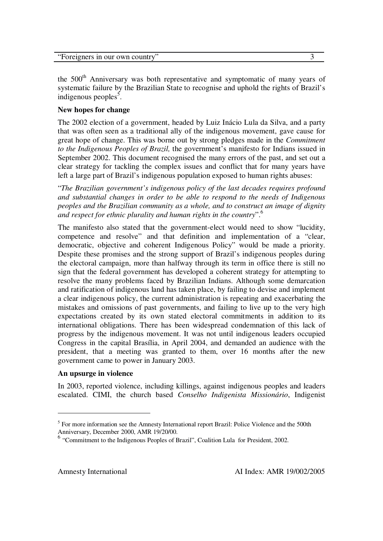| "Foreigners in our own country" |  |
|---------------------------------|--|
|                                 |  |
|                                 |  |

the 500<sup>th</sup> Anniversary was both representative and symptomatic of many years of systematic failure by the Brazilian State to recognise and uphold the rights of Brazil's indigenous peoples<sup>5</sup>.

#### **New hopes for change**

The 2002 election of a government, headed by Luiz Inácio Lula da Silva, and a party that was often seen as a traditional ally of the indigenous movement, gave cause for great hope of change. This was borne out by strong pledges made in the *Commitment to the Indigenous Peoples of Brazil,* the government's manifesto for Indians issued in September 2002. This document recognised the many errors of the past, and set out a clear strategy for tackling the complex issues and conflict that for many years have left a large part of Brazil's indigenous population exposed to human rights abuses:

"*The Brazilian government's indigenous policy of the last decades requires profound and substantial changes in order to be able to respond to the needs of Indigenous peoples and the Brazilian community as a whole, and to construct an image of dignity and respect for ethnic plurality and human rights in the country*". 6

The manifesto also stated that the government-elect would need to show "lucidity, competence and resolve" and that definition and implementation of a "clear, democratic, objective and coherent Indigenous Policy" would be made a priority. Despite these promises and the strong support of Brazil's indigenous peoples during the electoral campaign, more than halfway through its term in office there is still no sign that the federal government has developed a coherent strategy for attempting to resolve the many problems faced by Brazilian Indians. Although some demarcation and ratification of indigenous land has taken place, by failing to devise and implement a clear indigenous policy, the current administration is repeating and exacerbating the mistakes and omissions of past governments, and failing to live up to the very high expectations created by its own stated electoral commitments in addition to its international obligations. There has been widespread condemnation of this lack of progress by the indigenous movement. It was not until indigenous leaders occupied Congress in the capital Brasília, in April 2004, and demanded an audience with the president, that a meeting was granted to them, over 16 months after the new government came to power in January 2003.

#### **An upsurge in violence**

In 2003, reported violence, including killings, against indigenous peoples and leaders escalated. CIMI, the church based *Conselho Indigenista Missionário*, Indigenist

<sup>&</sup>lt;sup>5</sup> For more information see the Amnesty International report Brazil: Police Violence and the 500th Anniversary, December 2000, AMR 19/20/00.

<sup>&</sup>lt;sup>6</sup> "Commitment to the Indigenous Peoples of Brazil", Coalition Lula for President, 2002.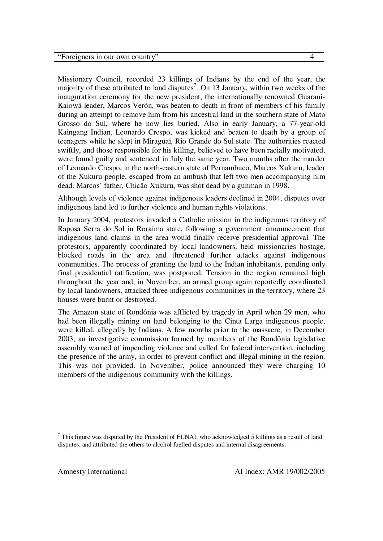Missionary Council, recorded 23 killings of Indians by the end of the year, the majority of these attributed to land disputes<sup>7</sup>. On 13 January, within two weeks of the inauguration ceremony for the new president, the internationally renowned Guarani-Kaiowá leader, Marcos Verón, was beaten to death in front of members of his family during an attempt to remove him from his ancestral land in the southern state of Mato Grosso do Sul, where he now lies buried. Also in early January, a 77-year-old Kaingang Indian, Leonardo Crespo, was kicked and beaten to death by a group of teenagers while he slept in Miraguaí, Rio Grande do Sul state. The authorities reacted swiftly, and those responsible for his killing, believed to have been racially motivated, were found guilty and sentenced in July the same year. Two months after the murder of Leonardo Crespo, in the north-eastern state of Pernambuco, Marcos Xukuru, leader of the Xukuru people, escaped from an ambush that left two men accompanying him dead. Marcos' father, Chicão Xukuru, was shot dead by a gunman in 1998.

Although levels of violence against indigenous leaders declined in 2004, disputes over indigenous land led to further violence and human rights violations.

In January 2004, protestors invaded a Catholic mission in the indigenous territory of Raposa Serra do Sol in Roraima state, following a government announcement that indigenous land claims in the area would finally receive presidential approval. The protestors, apparently coordinated by local landowners, held missionaries hostage, blocked roads in the area and threatened further attacks against indigenous communities. The process of granting the land to the Indian inhabitants, pending only final presidential ratification, was postponed. Tension in the region remained high throughout the year and, in November, an armed group again reportedly coordinated by local landowners, attacked three indigenous communities in the territory, where 23 houses were burnt or destroyed.

The Amazon state of Rondônia was afflicted by tragedy in April when 29 men, who had been illegally mining on land belonging to the Cinta Larga indigenous people, were killed, allegedly by Indians. A few months prior to the massacre, in December 2003, an investigative commission formed by members of the Rondônia legislative assembly warned of impending violence and called for federal intervention, including the presence of the army, in order to prevent conflict and illegal mining in the region. This was not provided. In November, police announced they were charging 10 members of the indigenous community with the killings.

 $<sup>7</sup>$  This figure was disputed by the President of FUNAI, who acknowledged 5 killings as a result of land</sup> disputes, and attributed the others to alcohol fuelled disputes and internal disagreements.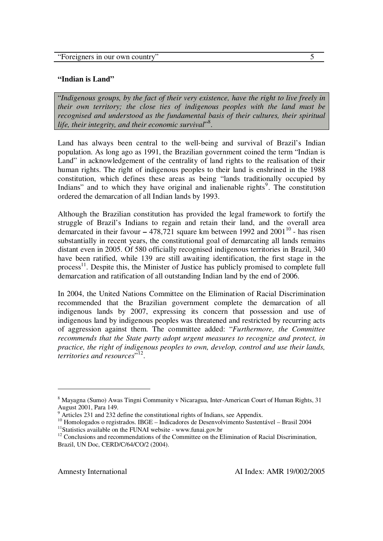#### **"Indian is Land"**

"*Indigenous groups, by the fact of their very existence, have the right to live freely in their own territory; the close ties of indigenous peoples with the land must be recognised and understood as the fundamental basis of their cultures, their spiritual life, their integrity, and their economic survival*" 8 .

Land has always been central to the well-being and survival of Brazil's Indian population. As long ago as 1991, the Brazilian government coined the term "Indian is Land" in acknowledgement of the centrality of land rights to the realisation of their human rights. The right of indigenous peoples to their land is enshrined in the 1988 constitution, which defines these areas as being "lands traditionally occupied by Indians" and to which they have original and inalienable rights<sup>9</sup>. The constitution ordered the demarcation of all Indian lands by 1993.

Although the Brazilian constitution has provided the legal framework to fortify the struggle of Brazil's Indians to regain and retain their land, and the overall area demarcated in their favour – 478,721 square km between 1992 and 2001<sup>10</sup> - has risen substantially in recent years, the constitutional goal of demarcating all lands remains distant even in 2005. Of 580 officially recognised indigenous territories in Brazil, 340 have been ratified, while 139 are still awaiting identification, the first stage in the process<sup>11</sup>. Despite this, the Minister of Justice has publicly promised to complete full demarcation and ratification of all outstanding Indian land by the end of 2006.

In 2004, the United Nations Committee on the Elimination of Racial Discrimination recommended that the Brazilian government complete the demarcation of all indigenous lands by 2007, expressing its concern that possession and use of indigenous land by indigenous peoples was threatened and restricted by recurring acts of aggression against them. The committee added: "*Furthermore, the Committee recommends that the State party adopt urgent measures to recognize and protect, in practice, the right of indigenous peoples to own, develop, control and use their lands, territories and resources*" 12 .

<sup>8</sup> Mayagna (Sumo) Awas Tingni Community v Nicaragua, Inter-American Court of Human Rights, 31 August 2001, Para 149.

 $9$  Articles 231 and 232 define the constitutional rights of Indians, see Appendix.

<sup>10</sup> Homologados o registrados. IBGE – Indicadores de Desenvolvimento Sustentável – Brasil 2004 <sup>11</sup>Statistics available on the FUNAI website - www.funai.gov.br

 $12$  Conclusions and recommendations of the Committee on the Elimination of Racial Discrimination, Brazil, UN Doc, CERD/C/64/CO/2 (2004).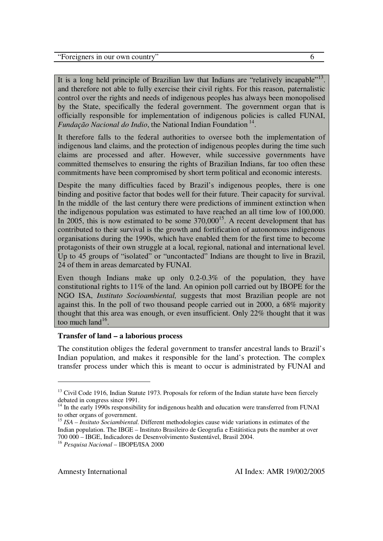It is a long held principle of Brazilian law that Indians are "relatively incapable"<sup>13</sup>. and therefore not able to fully exercise their civil rights. For this reason, paternalistic control over the rights and needs of indigenous peoples has always been monopolised by the State, specifically the federal government. The government organ that is officially responsible for implementation of indigenous policies is called FUNAI, *Fundação Nacional do Indio*, the National Indian Foundation 14 .

It therefore falls to the federal authorities to oversee both the implementation of indigenous land claims, and the protection of indigenous peoples during the time such claims are processed and after. However, while successive governments have committed themselves to ensuring the rights of Brazilian Indians, far too often these commitments have been compromised by short term political and economic interests.

Despite the many difficulties faced by Brazil's indigenous peoples, there is one binding and positive factor that bodes well for their future. Their capacity for survival. In the middle of the last century there were predictions of imminent extinction when the indigenous population was estimated to have reached an all time low of 100,000. In 2005, this is now estimated to be some  $370,000^{15}$ . A recent development that has contributed to their survival is the growth and fortification of autonomous indigenous organisations during the 1990s, which have enabled them for the first time to become protagonists of their own struggle at a local, regional, national and international level. Up to 45 groups of "isolated" or "uncontacted" Indians are thought to live in Brazil, 24 of them in areas demarcated by FUNAI.

Even though Indians make up only 0.2-0.3% of the population, they have constitutional rights to 11% of the land. An opinion poll carried out by IBOPE for the NGO ISA, *Instituto Socioambiental,* suggests that most Brazilian people are not against this. In the poll of two thousand people carried out in 2000, a 68% majority thought that this area was enough, or even insufficient. Only 22% thought that it was too much land $^{16}$ .

#### **Transfer of land – a laborious process**

The constitution obliges the federal government to transfer ancestral lands to Brazil's Indian population, and makes it responsible for the land's protection. The complex transfer process under which this is meant to occur is administrated by FUNAI and

<sup>&</sup>lt;sup>13</sup> Civil Code 1916, Indian Statute 1973. Proposals for reform of the Indian statute have been fiercely debated in congress since 1991.

<sup>&</sup>lt;sup>14</sup> In the early 1990s responsibility for indigenous health and education were transferred from FUNAI

to other organs of government. 15 *ISA – Insituto Sociambiental.* Different methodologies cause wide variations in estimates of the Indian population. The IBGE – Instituto Brasileiro de Geografia e Estátistica puts the number at over 700 000 – IBGE, Indicadores de Desenvolvimento Sustentável, Brasil 2004.

<sup>16</sup> *Pesquisa Nacional* – IBOPE/ISA 2000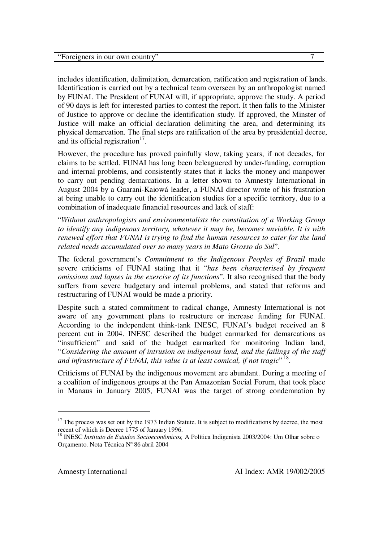includes identification, delimitation, demarcation, ratification and registration of lands. Identification is carried out by a technical team overseen by an anthropologist named by FUNAI. The President of FUNAI will, if appropriate, approve the study. A period of 90 days is left for interested parties to contest the report. It then falls to the Minister of Justice to approve or decline the identification study. If approved, the Minster of Justice will make an official declaration delimiting the area, and determining its physical demarcation. The final steps are ratification of the area by presidential decree, and its official registration<sup>17</sup>.

However, the procedure has proved painfully slow, taking years, if not decades, for claims to be settled. FUNAI has long been beleaguered by under-funding, corruption and internal problems, and consistently states that it lacks the money and manpower to carry out pending demarcations. In a letter shown to Amnesty International in August 2004 by a Guarani-Kaiowá leader, a FUNAI director wrote of his frustration at being unable to carry out the identification studies for a specific territory, due to a combination of inadequate financial resources and lack of staff:

"*Without anthropologists and environmentalists the constitution of a Working Group to identify any indigenous territory, whatever it may be, becomes unviable. It is with renewed effort that FUNAI is trying to find the human resources to cater for the land related needs accumulated over so many years in Mato Grosso do Sul*".

The federal government's *Commitment to the Indigenous Peoples of Brazil* made severe criticisms of FUNAI stating that it "*has been characterised by frequent omissions and lapses in the exercise of its functions*". It also recognised that the body suffers from severe budgetary and internal problems, and stated that reforms and restructuring of FUNAI would be made a priority.

Despite such a stated commitment to radical change, Amnesty International is not aware of any government plans to restructure or increase funding for FUNAI. According to the independent think-tank INESC, FUNAI's budget received an 8 percent cut in 2004. INESC described the budget earmarked for demarcations as "insufficient" and said of the budget earmarked for monitoring Indian land, "*Considering the amount of intrusion on indigenous land, and the failings of the staff and infrastructure of FUNAI, this value is at least comical, if not tragic*" 18 .

Criticisms of FUNAI by the indigenous movement are abundant. During a meeting of a coalition of indigenous groups at the Pan Amazonian Social Forum, that took place in Manaus in January 2005, FUNAI was the target of strong condemnation by

 $17$  The process was set out by the 1973 Indian Statute. It is subject to modifications by decree, the most recent of which is Decree 1775 of January 1996.

<sup>18</sup> INESC *Instituto de Estudos Socioeconômicos,* A Política Indigenista 2003/2004: Um Olhar sobre o Orçamento. Nota Técnica Nº86 abril 2004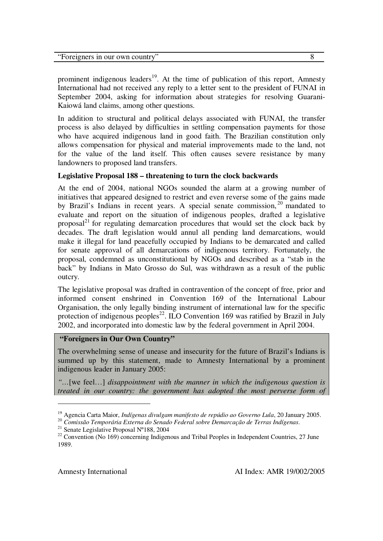|  | "Foreigners in our own country" |  |
|--|---------------------------------|--|
|  |                                 |  |

prominent indigenous leaders<sup>19</sup>. At the time of publication of this report, Amnesty International had not received any reply to a letter sent to the president of FUNAI in September 2004, asking for information about strategies for resolving Guarani-Kaiowá land claims, among other questions.

In addition to structural and political delays associated with FUNAI, the transfer process is also delayed by difficulties in settling compensation payments for those who have acquired indigenous land in good faith. The Brazilian constitution only allows compensation for physical and material improvements made to the land, not for the value of the land itself. This often causes severe resistance by many landowners to proposed land transfers.

#### **Legislative Proposal 188 – threatening to turn the clock backwards**

At the end of 2004, national NGOs sounded the alarm at a growing number of initiatives that appeared designed to restrict and even reverse some of the gains made by Brazil's Indians in recent years. A special senate commission,<sup>20</sup> mandated to evaluate and report on the situation of indigenous peoples, drafted a legislative proposal<sup>21</sup> for regulating demarcation procedures that would set the clock back by decades. The draft legislation would annul all pending land demarcations, would make it illegal for land peacefully occupied by Indians to be demarcated and called for senate approval of all demarcations of indigenous territory. Fortunately, the proposal, condemned as unconstitutional by NGOs and described as a "stab in the back" by Indians in Mato Grosso do Sul, was withdrawn as a result of the public outcry.

The legislative proposal was drafted in contravention of the concept of free, prior and informed consent enshrined in Convention 169 of the International Labour Organisation, the only legally binding instrument of international law for the specific protection of indigenous peoples<sup>22</sup>. ILO Convention 169 was ratified by Brazil in July 2002, and incorporated into domestic law by the federal government in April 2004.

#### **"Foreigners in Our Own Country"**

The overwhelming sense of unease and insecurity for the future of Brazil's Indians is summed up by this statement, made to Amnesty International by a prominent indigenous leader in January 2005:

*"…*[we feel…] *disappointment with the manner in which the indigenous question is treated in our country: the government has adopted the most perverse form of*

<sup>20</sup> *Comissão Temporária Externa do Senado Federal sobre Demarcação de Terras Indígenas*.

<sup>19</sup> Agencia Carta Maior, *Indígenas divulgam manifesto de repúdio ao Governo Lula*, 20 January 2005.

<sup>&</sup>lt;sup>21</sup> Senate Legislative Proposal N°188, 2004

 $^{22}$  Convention (No 169) concerning Indigenous and Tribal Peoples in Independent Countries, 27 June 1989.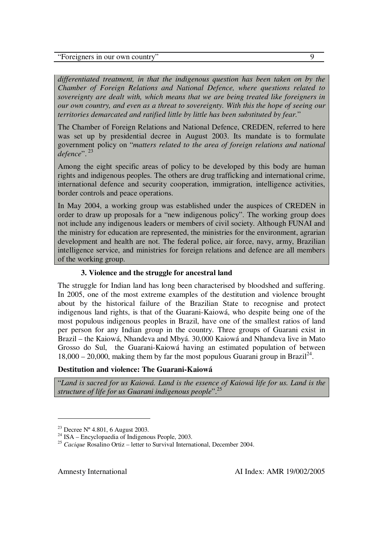*differentiated treatment, in that the indigenous question has been taken on by the Chamber of Foreign Relations and National Defence, where questions related to sovereignty are dealt with, which means that we are being treated like foreigners in our own country, and even as a threat to sovereignty. With this the hope of seeing our territories demarcated and ratified little by little has been substituted by fear.*"

The Chamber of Foreign Relations and National Defence, CREDEN, referred to here was set up by presidential decree in August 2003. Its mandate is to formulate government policy on "*matters related to the area of foreign relations and national defence*". 23

Among the eight specific areas of policy to be developed by this body are human rights and indigenous peoples. The others are drug trafficking and international crime, international defence and security cooperation, immigration, intelligence activities, border controls and peace operations.

In May 2004, a working group was established under the auspices of CREDEN in order to draw up proposals for a "new indigenous policy". The working group does not include any indigenous leaders or members of civil society. Although FUNAI and the ministry for education are represented, the ministries for the environment, agrarian development and health are not. The federal police, air force, navy, army, Brazilian intelligence service, and ministries for foreign relations and defence are all members of the working group.

#### **3. Violence and the struggle for ancestral land**

The struggle for Indian land has long been characterised by bloodshed and suffering. In 2005, one of the most extreme examples of the destitution and violence brought about by the historical failure of the Brazilian State to recognise and protect indigenous land rights, is that of the Guarani-Kaiowá, who despite being one of the most populous indigenous peoples in Brazil, have one of the smallest ratios of land per person for any Indian group in the country. Three groups of Guarani exist in Brazil – the Kaiowá, Nhandeva and Mbyá. 30,000 Kaiowá and Nhandeva live in Mato Grosso do Sul, the Guarani-Kaiowá having an estimated population of between  $18,000 - 20,000$ , making them by far the most populous Guarani group in Brazil<sup>24</sup>.

#### **Destitution and violence: The Guarani-Kaiowá**

"*Land is sacred for us Kaiowá. Land is the essence of Kaiowá life for us. Land is the structure of life for us Guarani indigenous people*". 25

<sup>&</sup>lt;sup>23</sup> Decree N° 4.801, 6 August 2003.

 $2<sup>24</sup>$  ISA – Encyclopaedia of Indigenous People, 2003.

<sup>&</sup>lt;sup>25</sup> *Cacique* Rosalino Ortiz – letter to Survival International, December 2004.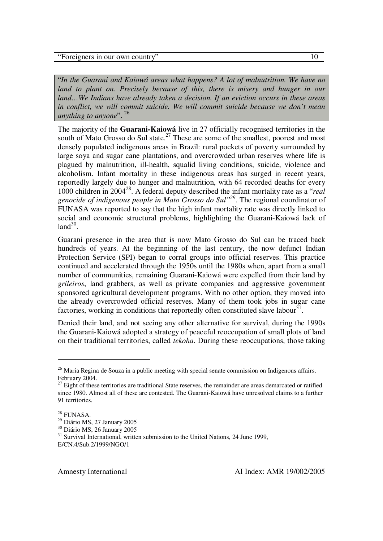"*In the Guarani and Kaiowá areas what happens? A lot of malnutrition. We have no land to plant on. Precisely because of this, there is misery and hunger in our land…We Indians have already taken a decision. If an eviction occurs in these areas in conflict, we will commit suicide. We will commit suicide because we don't mean anything to anyone*". 26

The majority of the **Guarani-Kaiowá** live in 27 officially recognised territories in the south of Mato Grosso do Sul state.<sup>27</sup> These are some of the smallest, poorest and most densely populated indigenous areas in Brazil: rural pockets of poverty surrounded by large soya and sugar cane plantations, and overcrowded urban reserves where life is plagued by malnutrition, ill-health, squalid living conditions, suicide, violence and alcoholism. Infant mortality in these indigenous areas has surged in recent years, reportedly largely due to hunger and malnutrition, with 64 recorded deaths for every 1000 children in 2004 28 . A federal deputy described the infant mortality rate as a "*real genocide of indigenous people in Mato Grosso do Sul" 29* . The regional coordinator of FUNASA was reported to say that the high infant mortality rate was directly linked to social and economic structural problems, highlighting the Guarani-Kaiowá lack of  $land<sup>30</sup>$ .

Guarani presence in the area that is now Mato Grosso do Sul can be traced back hundreds of years. At the beginning of the last century, the now defunct Indian Protection Service (SPI) began to corral groups into official reserves. This practice continued and accelerated through the 1950s until the 1980s when, apart from a small number of communities, remaining Guarani-Kaiowá were expelled from their land by *grileiros*, land grabbers, as well as private companies and aggressive government sponsored agricultural development programs. With no other option, they moved into the already overcrowded official reserves. Many of them took jobs in sugar cane factories, working in conditions that reportedly often constituted slave labour<sup>31</sup>.

Denied their land, and not seeing any other alternative for survival, during the 1990s the Guarani-Kaiowá adopted a strategy of peaceful reoccupation of small plots of land on their traditional territories, called *tekoha*. During these reoccupations, those taking

 $26$  Maria Regina de Souza in a public meeting with special senate commission on Indigenous affairs, February 2004.

 $27$  Eight of these territories are traditional State reserves, the remainder are areas demarcated or ratified since 1980. Almost all of these are contested. The Guarani-Kaiowá have unresolved claims to a further 91 territories.

<sup>28</sup> FUNASA.

<sup>29</sup> Diário MS, 27 January 2005

<sup>30</sup> Diário MS, 26 January 2005

<sup>&</sup>lt;sup>31</sup> Survival International, written submission to the United Nations, 24 June 1999, E/CN.4/Sub.2/1999/NGO/1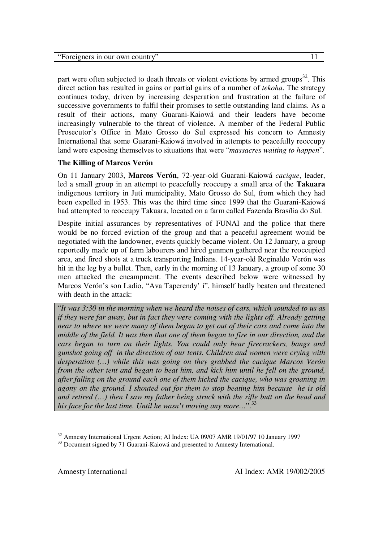part were often subjected to death threats or violent evictions by armed groups<sup>32</sup>. This direct action has resulted in gains or partial gains of a number of *tekoha*. The strategy continues today, driven by increasing desperation and frustration at the failure of successive governments to fulfil their promises to settle outstanding land claims. As a result of their actions, many Guarani-Kaiowá and their leaders have become increasingly vulnerable to the threat of violence. A member of the Federal Public Prosecutor's Office in Mato Grosso do Sul expressed his concern to Amnesty International that some Guarani-Kaiowá involved in attempts to peacefully reoccupy land were exposing themselves to situations that were "*massacres waiting to happen*".

#### **The Killing of Marcos Verón**

On 11 January 2003, **Marcos Verón**, 72-year-old Guarani-Kaiowá *cacique*, leader, led a small group in an attempt to peacefully reoccupy a small area of the **Takuara** indigenous territory in Juti municipality, Mato Grosso do Sul, from which they had been expelled in 1953. This was the third time since 1999 that the Guarani-Kaiowá had attempted to reoccupy Takuara, located on a farm called Fazenda Brasília do Sul.

Despite initial assurances by representatives of FUNAI and the police that there would be no forced eviction of the group and that a peaceful agreement would be negotiated with the landowner, events quickly became violent. On 12 January, a group reportedly made up of farm labourers and hired gunmen gathered near the reoccupied area, and fired shots at a truck transporting Indians. 14-year-old Reginaldo Verón was hit in the leg by a bullet. Then, early in the morning of 13 January, a group of some 30 men attacked the encampment. The events described below were witnessed by Marcos Verón's son Ladio, "Ava Taperendy' i", himself badly beaten and threatened with death in the attack:

"*It was 3:30 in the morning when we heard the noises of cars, which sounded to us as if they were far away, but in fact they were coming with the lights off. Already getting near to where we were many of them began to get out of their cars and come into the middle of the field. It was then that one of them began to fire in our direction, and the cars began to turn on their lights. You could only hear firecrackers, bangs and gunshot going off in the direction of our tents. Children and women were crying with desperation (…) while this was going on they grabbed the cacique Marcos Verón from the other tent and began to beat him, and kick him until he fell on the ground, after falling on the ground each one of them kicked the cacique, who was groaning in agony on the ground. I shouted out for them to stop beating him because he is old and retired (…) then I saw my father being struck with the rifle butt on the head and his face for the last time. Until he wasn't moving any more…*". 33

<sup>&</sup>lt;sup>32</sup> Amnesty International Urgent Action; AI Index: UA 09/07 AMR 19/01/97 10 January 1997

<sup>&</sup>lt;sup>33</sup> Document signed by 71 Guarani-Kaiowá and presented to Amnesty International.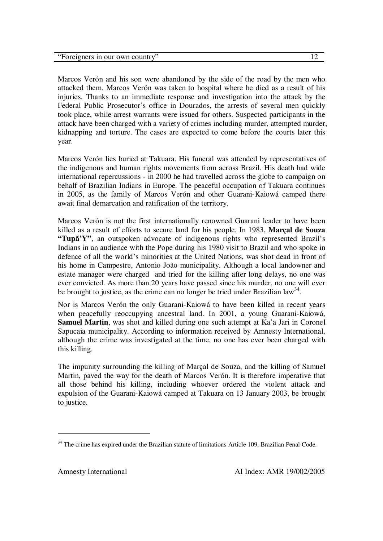Marcos Verón and his son were abandoned by the side of the road by the men who attacked them. Marcos Verón was taken to hospital where he died as a result of his injuries. Thanks to an immediate response and investigation into the attack by the Federal Public Prosecutor's office in Dourados, the arrests of several men quickly took place, while arrest warrants were issued for others. Suspected participants in the attack have been charged with a variety of crimes including murder, attempted murder, kidnapping and torture. The cases are expected to come before the courts later this year.

Marcos Verón lies buried at Takuara. His funeral was attended by representatives of the indigenous and human rights movements from across Brazil. His death had wide international repercussions - in 2000 he had travelled across the globe to campaign on behalf of Brazilian Indians in Europe. The peaceful occupation of Takuara continues in 2005, as the family of Marcos Verón and other Guarani-Kaiowá camped there await final demarcation and ratification of the territory.

Marcos Verón is not the first internationally renowned Guarani leader to have been killed as a result of efforts to secure land for his people. In 1983, **Marçal de Souza "Tupã'Y"**, an outspoken advocate of indigenous rights who represented Brazil's Indians in an audience with the Pope during his 1980 visit to Brazil and who spoke in defence of all the world's minorities at the United Nations, was shot dead in front of his home in Campestre, Antonio João municipality. Although a local landowner and estate manager were charged and tried for the killing after long delays, no one was ever convicted. As more than 20 years have passed since his murder, no one will ever be brought to justice, as the crime can no longer be tried under Brazilian law<sup>34</sup>.

Nor is Marcos Verón the only Guarani-Kaiowá to have been killed in recent years when peacefully reoccupying ancestral land. In 2001, a young Guarani-Kaiowá, **Samuel Martin**, was shot and killed during one such attempt at Ka'a Jari in Coronel Sapucaia municipality. According to information received by Amnesty International, although the crime was investigated at the time, no one has ever been charged with this killing.

The impunity surrounding the killing of Marçal de Souza, and the killing of Samuel Martin, paved the way for the death of Marcos Verón. It is therefore imperative that all those behind his killing, including whoever ordered the violent attack and expulsion of the Guarani-Kaiowá camped at Takuara on 13 January 2003, be brought to justice.

<sup>&</sup>lt;sup>34</sup> The crime has expired under the Brazilian statute of limitations Article 109, Brazilian Penal Code.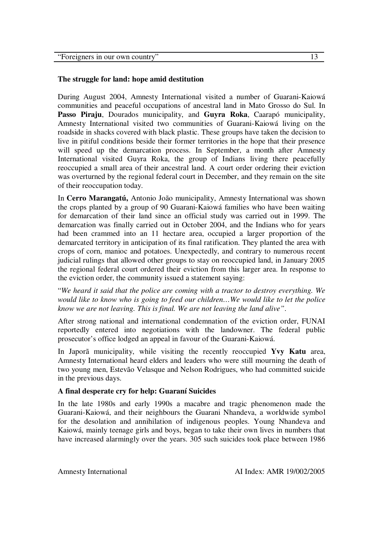#### **The struggle for land: hope amid destitution**

During August 2004, Amnesty International visited a number of Guarani-Kaiowá communities and peaceful occupations of ancestral land in Mato Grosso do Sul. In **Passo Piraju**, Dourados municipality, and **Guyra Roka**, Caarapó municipality, Amnesty International visited two communities of Guarani-Kaiowá living on the roadside in shacks covered with black plastic. These groups have taken the decision to live in pitiful conditions beside their former territories in the hope that their presence will speed up the demarcation process. In September, a month after Amnesty International visited Guyra Roka, the group of Indians living there peacefully reoccupied a small area of their ancestral land. A court order ordering their eviction was overturned by the regional federal court in December, and they remain on the site of their reoccupation today.

In **Cerro Marangatú,** Antonio João municipality, Amnesty International was shown the crops planted by a group of 90 Guarani-Kaiowá families who have been waiting for demarcation of their land since an official study was carried out in 1999. The demarcation was finally carried out in October 2004, and the Indians who for years had been crammed into an 11 hectare area, occupied a larger proportion of the demarcated territory in anticipation of its final ratification. They planted the area with crops of corn, manioc and potatoes. Unexpectedly, and contrary to numerous recent judicial rulings that allowed other groups to stay on reoccupied land, in January 2005 the regional federal court ordered their eviction from this larger area. In response to the eviction order, the community issued a statement saying:

"*We heard it said that the police are coming with a tractor to destroy everything. We would like to know who is going to feed our children…We would like to let the police know we are not leaving. This is final. We are not leaving the land alive"*.

After strong national and international condemnation of the eviction order, FUNAI reportedly entered into negotiations with the landowner. The federal public prosecutor's office lodged an appeal in favour of the Guarani-Kaiowá.

In Japorã municipality, while visiting the recently reoccupied **Yvy Katu** area, Amnesty International heard elders and leaders who were still mourning the death of two young men, Estevão Velasque and Nelson Rodrigues, who had committed suicide in the previous days.

#### **A final desperate cry for help: Guaraní Suicides**

In the late 1980s and early 1990s a macabre and tragic phenomenon made the Guarani-Kaiowá, and their neighbours the Guarani Nhandeva, a worldwide symbol for the desolation and annihilation of indigenous peoples. Young Nhandeva and Kaiowá, mainly teenage girls and boys, began to take their own lives in numbers that have increased alarmingly over the years. 305 such suicides took place between 1986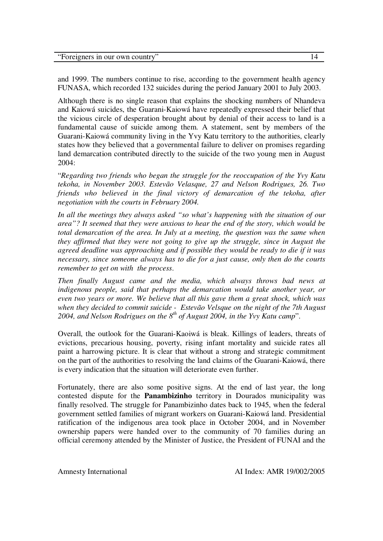and 1999. The numbers continue to rise, according to the government health agency FUNASA, which recorded 132 suicides during the period January 2001 to July 2003.

Although there is no single reason that explains the shocking numbers of Nhandeva and Kaiowá suicides, the Guarani-Kaiowá have repeatedly expressed their belief that the vicious circle of desperation brought about by denial of their access to land is a fundamental cause of suicide among them. A statement, sent by members of the Guarani-Kaiowá community living in the Yvy Katu territory to the authorities, clearly states how they believed that a governmental failure to deliver on promises regarding land demarcation contributed directly to the suicide of the two young men in August 2004:

"*Regarding two friends who began the struggle for the reoccupation of the Yvy Katu tekoha, in November 2003. Estevão Velasque, 27 and Nelson Rodrigues, 26. Two friends who believed in the final victory of demarcation of the tekoha, after negotiation with the courts in February 2004.*

*In all the meetings they always asked "so what's happening with the situation of our area"? It seemed that they were anxious to hear the end of the story, which would be total demarcation of the area. In July at a meeting, the question was the same when they affirmed that they were not going to give up the struggle, since in August the agreed deadline was approaching and if possible they would be ready to die if it was necessary, since someone always has to die for a just cause, only then do the courts remember to get on with the process*.

*Then finally August came and the media, which always throws bad news at indigenous people, said that perhaps the demarcation would take another year, or even two years or more. We believe that all this gave them a great shock, which was when they decided to commit suicide - Estevão Velsque on the night of the 7th August 2004, and Nelson Rodrigues on the 8 th of August 2004, in the Yvy Katu camp*".

Overall, the outlook for the Guarani-Kaoiwá is bleak. Killings of leaders, threats of evictions, precarious housing, poverty, rising infant mortality and suicide rates all paint a harrowing picture. It is clear that without a strong and strategic commitment on the part of the authorities to resolving the land claims of the Guarani-Kaiowá, there is every indication that the situation will deteriorate even further.

Fortunately, there are also some positive signs. At the end of last year, the long contested dispute for the **Panambizinho** territory in Dourados municipality was finally resolved. The struggle for Panambizinho dates back to 1945, when the federal government settled families of migrant workers on Guarani-Kaiowá land. Presidential ratification of the indigenous area took place in October 2004, and in November ownership papers were handed over to the community of 70 families during an official ceremony attended by the Minister of Justice, the President of FUNAI and the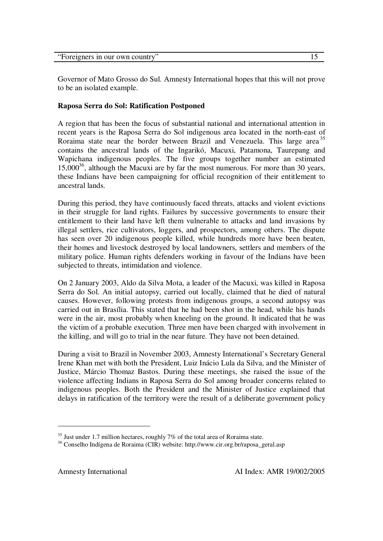Governor of Mato Grosso do Sul. Amnesty International hopes that this will not prove to be an isolated example.

#### **Raposa Serra do Sol: Ratification Postponed**

A region that has been the focus of substantial national and international attention in recent years is the Raposa Serra do Sol indigenous area located in the north-east of Roraima state near the border between Brazil and Venezuela. This large area<sup>35</sup> contains the ancestral lands of the Ingarikó, Macuxi, Patamona, Taurepang and Wapichana indigenous peoples. The five groups together number an estimated 15,000<sup>36</sup>, although the Macuxi are by far the most numerous. For more than 30 years, these Indians have been campaigning for official recognition of their entitlement to ancestral lands.

During this period, they have continuously faced threats, attacks and violent evictions in their struggle for land rights. Failures by successive governments to ensure their entitlement to their land have left them vulnerable to attacks and land invasions by illegal settlers, rice cultivators, loggers, and prospectors, among others. The dispute has seen over 20 indigenous people killed, while hundreds more have been beaten, their homes and livestock destroyed by local landowners, settlers and members of the military police. Human rights defenders working in favour of the Indians have been subjected to threats, intimidation and violence.

On 2 January 2003, Aldo da Silva Mota, a leader of the Macuxi, was killed in Raposa Serra do Sol. An initial autopsy, carried out locally, claimed that he died of natural causes. However, following protests from indigenous groups, a second autopsy was carried out in Brasília. This stated that he had been shot in the head, while his hands were in the air, most probably when kneeling on the ground. It indicated that he was the victim of a probable execution. Three men have been charged with involvement in the killing, and will go to trial in the near future. They have not been detained.

During a visit to Brazil in November 2003, Amnesty International's Secretary General Irene Khan met with both the President, Luiz Inácio Lula da Silva, and the Minister of Justice, Márcio Thomaz Bastos. During these meetings, she raised the issue of the violence affecting Indians in Raposa Serra do Sol among broader concerns related to indigenous peoples. Both the President and the Minister of Justice explained that delays in ratification of the territory were the result of a deliberate government policy

 $35$  Just under 1.7 million hectares, roughly 7% of the total area of Roraima state.

<sup>36</sup> Conselho Indígena de Roraima (CIR) website: http://www.cir.org.br/raposa\_geral.asp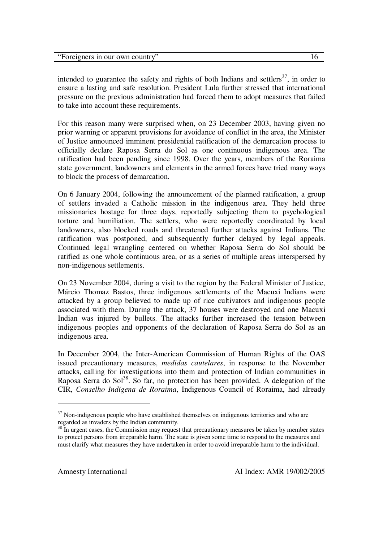| "Foreigners in our own country" |  |
|---------------------------------|--|
|                                 |  |

intended to guarantee the safety and rights of both Indians and settlers<sup>37</sup>, in order to ensure a lasting and safe resolution. President Lula further stressed that international pressure on the previous administration had forced them to adopt measures that failed to take into account these requirements.

For this reason many were surprised when, on 23 December 2003, having given no prior warning or apparent provisions for avoidance of conflict in the area, the Minister of Justice announced imminent presidential ratification of the demarcation process to officially declare Raposa Serra do Sol as one continuous indigenous area. The ratification had been pending since 1998. Over the years, members of the Roraima state government, landowners and elements in the armed forces have tried many ways to block the process of demarcation.

On 6 January 2004, following the announcement of the planned ratification, a group of settlers invaded a Catholic mission in the indigenous area. They held three missionaries hostage for three days, reportedly subjecting them to psychological torture and humiliation. The settlers, who were reportedly coordinated by local landowners, also blocked roads and threatened further attacks against Indians. The ratification was postponed, and subsequently further delayed by legal appeals. Continued legal wrangling centered on whether Raposa Serra do Sol should be ratified as one whole continuous area, or as a series of multiple areas interspersed by non-indigenous settlements.

On 23 November 2004, during a visit to the region by the Federal Minister of Justice, Márcio Thomaz Bastos, three indigenous settlements of the Macuxi Indians were attacked by a group believed to made up of rice cultivators and indigenous people associated with them. During the attack, 37 houses were destroyed and one Macuxi Indian was injured by bullets. The attacks further increased the tension between indigenous peoples and opponents of the declaration of Raposa Serra do Sol as an indigenous area.

In December 2004, the Inter-American Commission of Human Rights of the OAS issued precautionary measures, *medidas cautelares*, in response to the November attacks, calling for investigations into them and protection of Indian communities in Raposa Serra do Sol<sup>38</sup>. So far, no protection has been provided. A delegation of the CIR, *Conselho Indígena de Roraima*, Indigenous Council of Roraima, had already

 $37$  Non-indigenous people who have established themselves on indigenous territories and who are

regarded as invaders by the Indian community.<br><sup>38</sup> In urgent cases, the Commission may request that precautionary measures be taken by member states to protect persons from irreparable harm. The state is given some time to respond to the measures and must clarify what measures they have undertaken in order to avoid irreparable harm to the individual.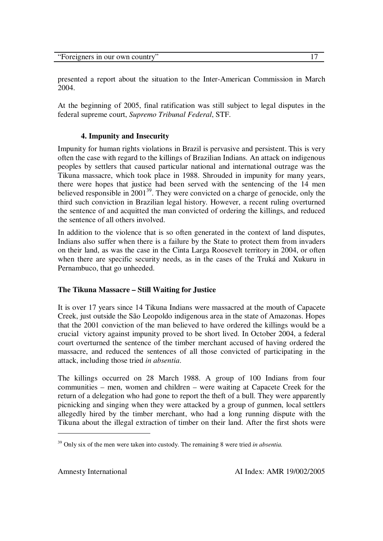presented a report about the situation to the Inter-American Commission in March 2004.

At the beginning of 2005, final ratification was still subject to legal disputes in the federal supreme court, *Supremo Tribunal Federal*, STF.

#### **4. Impunity and Insecurity**

Impunity for human rights violations in Brazil is pervasive and persistent. This is very often the case with regard to the killings of Brazilian Indians. An attack on indigenous peoples by settlers that caused particular national and international outrage was the Tikuna massacre, which took place in 1988. Shrouded in impunity for many years, there were hopes that justice had been served with the sentencing of the 14 men believed responsible in 2001<sup>39</sup>. They were convicted on a charge of genocide, only the third such conviction in Brazilian legal history. However, a recent ruling overturned the sentence of and acquitted the man convicted of ordering the killings, and reduced the sentence of all others involved.

In addition to the violence that is so often generated in the context of land disputes, Indians also suffer when there is a failure by the State to protect them from invaders on their land, as was the case in the Cinta Larga Roosevelt territory in 2004, or often when there are specific security needs, as in the cases of the Truká and Xukuru in Pernambuco, that go unheeded.

#### **The Tikuna Massacre – Still Waiting for Justice**

It is over 17 years since 14 Tikuna Indians were massacred at the mouth of Capacete Creek, just outside the São Leopoldo indigenous area in the state of Amazonas. Hopes that the 2001 conviction of the man believed to have ordered the killings would be a crucial victory against impunity proved to be short lived. In October 2004, a federal court overturned the sentence of the timber merchant accused of having ordered the massacre, and reduced the sentences of all those convicted of participating in the attack, including those tried *in absentia*.

The killings occurred on 28 March 1988. A group of 100 Indians from four communities – men, women and children – were waiting at Capacete Creek for the return of a delegation who had gone to report the theft of a bull. They were apparently picnicking and singing when they were attacked by a group of gunmen, local settlers allegedly hired by the timber merchant, who had a long running dispute with the Tikuna about the illegal extraction of timber on their land. After the first shots were

<sup>39</sup> Only six of the men were taken into custody. The remaining 8 were tried *in absentia.*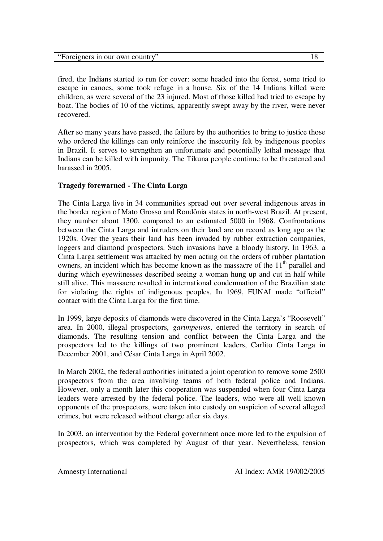| "Foreigners in our own country" |  |
|---------------------------------|--|
|                                 |  |

fired, the Indians started to run for cover: some headed into the forest, some tried to escape in canoes, some took refuge in a house. Six of the 14 Indians killed were children, as were several of the 23 injured. Most of those killed had tried to escape by boat. The bodies of 10 of the victims, apparently swept away by the river, were never recovered.

After so many years have passed, the failure by the authorities to bring to justice those who ordered the killings can only reinforce the insecurity felt by indigenous peoples in Brazil. It serves to strengthen an unfortunate and potentially lethal message that Indians can be killed with impunity. The Tikuna people continue to be threatened and harassed in 2005.

#### **Tragedy forewarned - The Cinta Larga**

The Cinta Larga live in 34 communities spread out over several indigenous areas in the border region of Mato Grosso and Rondônia states in north-west Brazil. At present, they number about 1300, compared to an estimated 5000 in 1968. Confrontations between the Cinta Larga and intruders on their land are on record as long ago as the 1920s. Over the years their land has been invaded by rubber extraction companies, loggers and diamond prospectors. Such invasions have a bloody history. In 1963, a Cinta Larga settlement was attacked by men acting on the orders of rubber plantation owners, an incident which has become known as the massacre of the  $11<sup>th</sup>$  parallel and during which eyewitnesses described seeing a woman hung up and cut in half while still alive. This massacre resulted in international condemnation of the Brazilian state for violating the rights of indigenous peoples. In 1969, FUNAI made "official" contact with the Cinta Larga for the first time.

In 1999, large deposits of diamonds were discovered in the Cinta Larga's "Roosevelt" area. In 2000, illegal prospectors, *garimpeiros*, entered the territory in search of diamonds. The resulting tension and conflict between the Cinta Larga and the prospectors led to the killings of two prominent leaders, Carlito Cinta Larga in December 2001, and César Cinta Larga in April 2002.

In March 2002, the federal authorities initiated a joint operation to remove some 2500 prospectors from the area involving teams of both federal police and Indians. However, only a month later this cooperation was suspended when four Cinta Larga leaders were arrested by the federal police. The leaders, who were all well known opponents of the prospectors, were taken into custody on suspicion of several alleged crimes, but were released without charge after six days.

In 2003, an intervention by the Federal government once more led to the expulsion of prospectors, which was completed by August of that year. Nevertheless, tension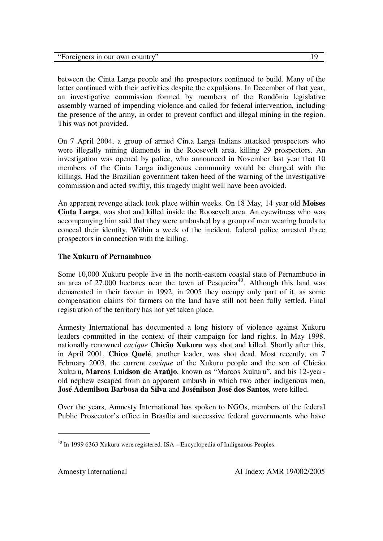| "Foreigners in our own country" |  |
|---------------------------------|--|
|                                 |  |

between the Cinta Larga people and the prospectors continued to build. Many of the latter continued with their activities despite the expulsions. In December of that year, an investigative commission formed by members of the Rondônia legislative assembly warned of impending violence and called for federal intervention, including the presence of the army, in order to prevent conflict and illegal mining in the region. This was not provided.

On 7 April 2004, a group of armed Cinta Larga Indians attacked prospectors who were illegally mining diamonds in the Roosevelt area, killing 29 prospectors. An investigation was opened by police, who announced in November last year that 10 members of the Cinta Larga indigenous community would be charged with the killings. Had the Brazilian government taken heed of the warning of the investigative commission and acted swiftly, this tragedy might well have been avoided.

An apparent revenge attack took place within weeks. On 18 May, 14 year old **Moises Cinta Larga**, was shot and killed inside the Roosevelt area. An eyewitness who was accompanying him said that they were ambushed by a group of men wearing hoods to conceal their identity. Within a week of the incident, federal police arrested three prospectors in connection with the killing.

#### **The Xukuru of Pernambuco**

Some 10,000 Xukuru people live in the north-eastern coastal state of Pernambuco in an area of 27,000 hectares near the town of Pesqueira<sup>40</sup>. Although this land was demarcated in their favour in 1992, in 2005 they occupy only part of it, as some compensation claims for farmers on the land have still not been fully settled. Final registration of the territory has not yet taken place.

Amnesty International has documented a long history of violence against Xukuru leaders committed in the context of their campaign for land rights. In May 1998, nationally renowned *cacique* **Chicão Xukuru** was shot and killed. Shortly after this, in April 2001, **Chico Quelé**, another leader, was shot dead. Most recently, on 7 February 2003, the current *cacique* of the Xukuru people and the son of Chicão Xukuru, **Marcos Luidson de Araújo**, known as "Marcos Xukuru", and his 12-yearold nephew escaped from an apparent ambush in which two other indigenous men, **José Ademilson Barbosa da Silva** and **Josénilson José dos Santos**, were killed.

Over the years, Amnesty International has spoken to NGOs, members of the federal Public Prosecutor's office in Brasília and successive federal governments who have

<sup>&</sup>lt;sup>40</sup> In 1999 6363 Xukuru were registered. ISA – Encyclopedia of Indigenous Peoples.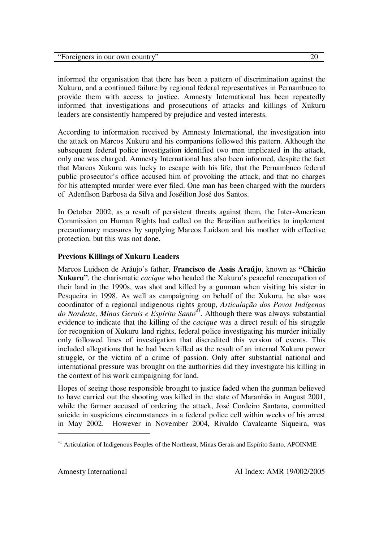|  | "Foreigners in our own country" |  |
|--|---------------------------------|--|
|  |                                 |  |
|  |                                 |  |

informed the organisation that there has been a pattern of discrimination against the Xukuru, and a continued failure by regional federal representatives in Pernambuco to provide them with access to justice. Amnesty International has been repeatedly informed that investigations and prosecutions of attacks and killings of Xukuru leaders are consistently hampered by prejudice and vested interests.

According to information received by Amnesty International, the investigation into the attack on Marcos Xukuru and his companions followed this pattern. Although the subsequent federal police investigation identified two men implicated in the attack, only one was charged. Amnesty International has also been informed, despite the fact that Marcos Xukuru was lucky to escape with his life, that the Pernambuco federal public prosecutor's office accused him of provoking the attack, and that no charges for his attempted murder were ever filed. One man has been charged with the murders of Adenílson Barbosa da Silva and Joséilton José dos Santos.

In October 2002, as a result of persistent threats against them, the Inter-American Commission on Human Rights had called on the Brazilian authorities to implement precautionary measures by supplying Marcos Luidson and his mother with effective protection, but this was not done.

#### **Previous Killings of Xukuru Leaders**

Marcos Luidson de Aráujo's father, **Francisco de Assis Araújo**, known as **"Chicão Xukuru"**, the charismatic *cacique* who headed the Xukuru's peaceful reoccupation of their land in the 1990s, was shot and killed by a gunman when visiting his sister in Pesqueira in 1998. As well as campaigning on behalf of the Xukuru, he also was coordinator of a regional indigenous rights group, *Articulação dos Povos Indígenas do Nordeste, Minas Gerais e Espírito Santo 41* . Although there was always substantial evidence to indicate that the killing of the *cacique* was a direct result of his struggle for recognition of Xukuru land rights, federal police investigating his murder initially only followed lines of investigation that discredited this version of events. This included allegations that he had been killed as the result of an internal Xukuru power struggle, or the victim of a crime of passion. Only after substantial national and international pressure was brought on the authorities did they investigate his killing in the context of his work campaigning for land.

Hopes of seeing those responsible brought to justice faded when the gunman believed to have carried out the shooting was killed in the state of Maranhão in August 2001, while the farmer accused of ordering the attack, José Cordeiro Santana, committed suicide in suspicious circumstances in a federal police cell within weeks of his arrest in May 2002. However in November 2004, Rivaldo Cavalcante Siqueira, was

<sup>&</sup>lt;sup>41</sup> Articulation of Indigenous Peoples of the Northeast, Minas Gerais and Espírito Santo, APOINME.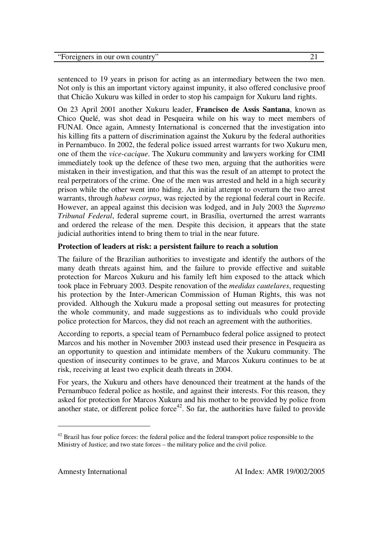sentenced to 19 years in prison for acting as an intermediary between the two men. Not only is this an important victory against impunity, it also offered conclusive proof that Chicão Xukuru was killed in order to stop his campaign for Xukuru land rights.

On 23 April 2001 another Xukuru leader, **Francisco de Assis Santana**, known as Chico Quelé, was shot dead in Pesqueira while on his way to meet members of FUNAI. Once again, Amnesty International is concerned that the investigation into his killing fits a pattern of discrimination against the Xukuru by the federal authorities in Pernambuco. In 2002, the federal police issued arrest warrants for two Xukuru men, one of them the *vice-cacique*. The Xukuru community and lawyers working for CIMI immediately took up the defence of these two men, arguing that the authorities were mistaken in their investigation, and that this was the result of an attempt to protect the real perpetrators of the crime. One of the men was arrested and held in a high security prison while the other went into hiding. An initial attempt to overturn the two arrest warrants, through *habeus corpus*, was rejected by the regional federal court in Recife. However, an appeal against this decision was lodged, and in July 2003 the *Supremo Tribunal Federal*, federal supreme court, in Brasília, overturned the arrest warrants and ordered the release of the men. Despite this decision, it appears that the state judicial authorities intend to bring them to trial in the near future.

#### **Protection of leaders at risk: a persistent failure to reach a solution**

The failure of the Brazilian authorities to investigate and identify the authors of the many death threats against him, and the failure to provide effective and suitable protection for Marcos Xukuru and his family left him exposed to the attack which took place in February 2003. Despite renovation of the *medidas cautelares*, requesting his protection by the Inter-American Commission of Human Rights, this was not provided. Although the Xukuru made a proposal setting out measures for protecting the whole community, and made suggestions as to individuals who could provide police protection for Marcos, they did not reach an agreement with the authorities.

According to reports, a special team of Pernambuco federal police assigned to protect Marcos and his mother in November 2003 instead used their presence in Pesqueira as an opportunity to question and intimidate members of the Xukuru community. The question of insecurity continues to be grave, and Marcos Xukuru continues to be at risk, receiving at least two explicit death threats in 2004.

For years, the Xukuru and others have denounced their treatment at the hands of the Pernambuco federal police as hostile, and against their interests. For this reason, they asked for protection for Marcos Xukuru and his mother to be provided by police from another state, or different police force<sup>42</sup>. So far, the authorities have failed to provide

 $42$  Brazil has four police forces: the federal police and the federal transport police responsible to the Ministry of Justice; and two state forces – the military police and the civil police.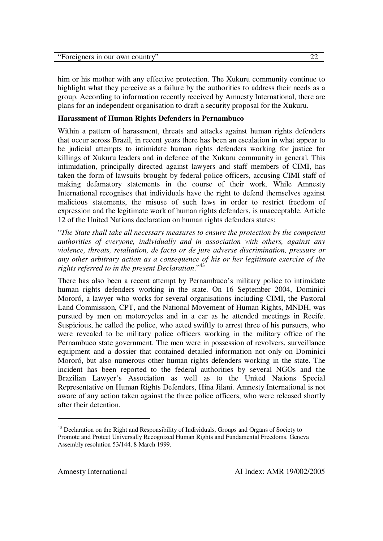| "Foreigners in our own country" |  |
|---------------------------------|--|
|                                 |  |

him or his mother with any effective protection. The Xukuru community continue to highlight what they perceive as a failure by the authorities to address their needs as a group. According to information recently received by Amnesty International, there are plans for an independent organisation to draft a security proposal for the Xukuru.

#### **Harassment of Human Rights Defenders in Pernambuco**

Within a pattern of harassment, threats and attacks against human rights defenders that occur across Brazil, in recent years there has been an escalation in what appear to be judicial attempts to intimidate human rights defenders working for justice for killings of Xukuru leaders and in defence of the Xukuru community in general. This intimidation, principally directed against lawyers and staff members of CIMI, has taken the form of lawsuits brought by federal police officers, accusing CIMI staff of making defamatory statements in the course of their work. While Amnesty International recognises that individuals have the right to defend themselves against malicious statements, the misuse of such laws in order to restrict freedom of expression and the legitimate work of human rights defenders, is unacceptable. Article 12 of the United Nations declaration on human rights defenders states:

"*The State shall take all necessary measures to ensure the protection by the competent authorities of everyone, individually and in association with others, against any violence, threats, retaliation, de facto or de jure adverse discrimination, pressure or any other arbitrary action as a consequence of his or her legitimate exercise of the rights referred to in the present Declaration*." 43

There has also been a recent attempt by Pernambuco's military police to intimidate human rights defenders working in the state. On 16 September 2004, Dominici Mororó, a lawyer who works for several organisations including CIMI, the Pastoral Land Commission, CPT, and the National Movement of Human Rights, MNDH, was pursued by men on motorcycles and in a car as he attended meetings in Recife. Suspicious, he called the police, who acted swiftly to arrest three of his pursuers, who were revealed to be military police officers working in the military office of the Pernambuco state government. The men were in possession of revolvers, surveillance equipment and a dossier that contained detailed information not only on Dominici Mororó, but also numerous other human rights defenders working in the state. The incident has been reported to the federal authorities by several NGOs and the Brazilian Lawyer's Association as well as to the United Nations Special Representative on Human Rights Defenders, Hina Jilani. Amnesty International is not aware of any action taken against the three police officers, who were released shortly after their detention.

<sup>&</sup>lt;sup>43</sup> Declaration on the Right and Responsibility of Individuals, Groups and Organs of Society to Promote and Protect Universally Recognized Human Rights and Fundamental Freedoms. Geneva Assembly resolution 53/144, 8 March 1999.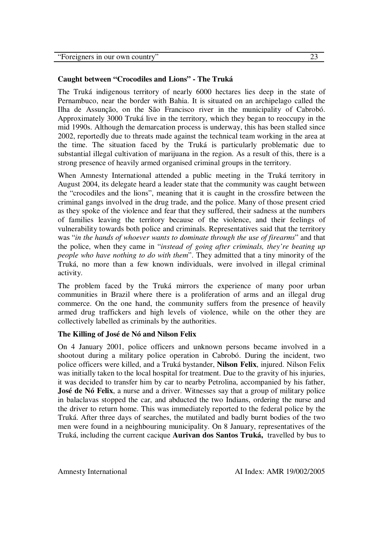#### **Caught between "Crocodiles and Lions" - The Truká**

The Truká indigenous territory of nearly 6000 hectares lies deep in the state of Pernambuco, near the border with Bahia. It is situated on an archipelago called the Ilha de Assunção, on the São Francisco river in the municipality of Cabrobó. Approximately 3000 Truká live in the territory, which they began to reoccupy in the mid 1990s. Although the demarcation process is underway, this has been stalled since 2002, reportedly due to threats made against the technical team working in the area at the time. The situation faced by the Truká is particularly problematic due to substantial illegal cultivation of marijuana in the region. As a result of this, there is a strong presence of heavily armed organised criminal groups in the territory.

When Amnesty International attended a public meeting in the Truká territory in August 2004, its delegate heard a leader state that the community was caught between the "crocodiles and the lions", meaning that it is caught in the crossfire between the criminal gangs involved in the drug trade, and the police. Many of those present cried as they spoke of the violence and fear that they suffered, their sadness at the numbers of families leaving the territory because of the violence, and their feelings of vulnerability towards both police and criminals. Representatives said that the territory was "*in the hands of whoever wants to dominate through the use of firearms*" and that the police, when they came in "*instead of going after criminals, they're beating up people who have nothing to do with them*". They admitted that a tiny minority of the Truká, no more than a few known individuals, were involved in illegal criminal activity.

The problem faced by the Truká mirrors the experience of many poor urban communities in Brazil where there is a proliferation of arms and an illegal drug commerce. On the one hand, the community suffers from the presence of heavily armed drug traffickers and high levels of violence, while on the other they are collectively labelled as criminals by the authorities.

#### **The Killing of José de Nó and Nilson Felix**

On 4 January 2001, police officers and unknown persons became involved in a shootout during a military police operation in Cabrobó. During the incident, two police officers were killed, and a Truká bystander, **Nilson Felix**, injured. Nilson Felix was initially taken to the local hospital for treatment. Due to the gravity of his injuries, it was decided to transfer him by car to nearby Petrolina, accompanied by his father, **José de Nó Felix**, a nurse and a driver. Witnesses say that a group of military police in balaclavas stopped the car, and abducted the two Indians, ordering the nurse and the driver to return home. This was immediately reported to the federal police by the Truká. After three days of searches, the mutilated and badly burnt bodies of the two men were found in a neighbouring municipality. On 8 January, representatives of the Truká, including the current cacique **Aurivan dos Santos Truká,** travelled by bus to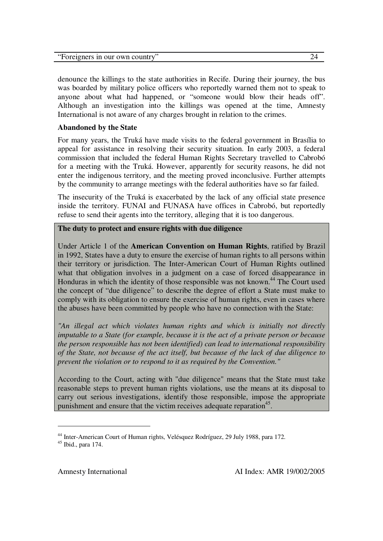| "Foreigners in our own country" |  |
|---------------------------------|--|
|                                 |  |

denounce the killings to the state authorities in Recife. During their journey, the bus was boarded by military police officers who reportedly warned them not to speak to anyone about what had happened, or "someone would blow their heads off". Although an investigation into the killings was opened at the time, Amnesty International is not aware of any charges brought in relation to the crimes.

#### **Abandoned by the State**

For many years, the Truká have made visits to the federal government in Brasília to appeal for assistance in resolving their security situation. In early 2003, a federal commission that included the federal Human Rights Secretary travelled to Cabrobó for a meeting with the Truká. However, apparently for security reasons, he did not enter the indigenous territory, and the meeting proved inconclusive. Further attempts by the community to arrange meetings with the federal authorities have so far failed.

The insecurity of the Truká is exacerbated by the lack of any official state presence inside the territory. FUNAI and FUNASA have offices in Cabrobó, but reportedly refuse to send their agents into the territory, alleging that it is too dangerous.

#### **The duty to protect and ensure rights with due diligence**

Under Article 1 of the **American Convention on Human Rights**, ratified by Brazil in 1992, States have a duty to ensure the exercise of human rights to all persons within their territory or jurisdiction. The Inter-American Court of Human Rights outlined what that obligation involves in a judgment on a case of forced disappearance in Honduras in which the identity of those responsible was not known.<sup>44</sup> The Court used the concept of "due diligence" to describe the degree of effort a State must make to comply with its obligation to ensure the exercise of human rights, even in cases where the abuses have been committed by people who have no connection with the State:

*"An illegal act which violates human rights and which is initially not directly imputable to a State (for example, because it is the act of a private person or because the person responsible has not been identified) can lead to international responsibility of the State, not because of the act itself, but because of the lack of due diligence to prevent the violation or to respond to it as required by the Convention."*

According to the Court, acting with "due diligence" means that the State must take reasonable steps to prevent human rights violations, use the means at its disposal to carry out serious investigations, identify those responsible, impose the appropriate punishment and ensure that the victim receives adequate reparation<sup>45</sup>.

<sup>&</sup>lt;sup>44</sup> Inter-American Court of Human rights, Velésquez Rodríguez, 29 July 1988, para 172. 45 Ibid., para 174.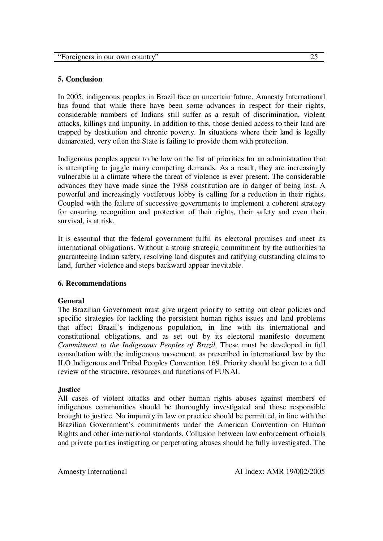#### **5. Conclusion**

In 2005, indigenous peoples in Brazil face an uncertain future. Amnesty International has found that while there have been some advances in respect for their rights, considerable numbers of Indians still suffer as a result of discrimination, violent attacks, killings and impunity. In addition to this, those denied access to their land are trapped by destitution and chronic poverty. In situations where their land is legally demarcated, very often the State is failing to provide them with protection.

Indigenous peoples appear to be low on the list of priorities for an administration that is attempting to juggle many competing demands. As a result, they are increasingly vulnerable in a climate where the threat of violence is ever present. The considerable advances they have made since the 1988 constitution are in danger of being lost. A powerful and increasingly vociferous lobby is calling for a reduction in their rights. Coupled with the failure of successive governments to implement a coherent strategy for ensuring recognition and protection of their rights, their safety and even their survival, is at risk.

It is essential that the federal government fulfil its electoral promises and meet its international obligations. Without a strong strategic commitment by the authorities to guaranteeing Indian safety, resolving land disputes and ratifying outstanding claims to land, further violence and steps backward appear inevitable.

#### **6. Recommendations**

#### **General**

The Brazilian Government must give urgent priority to setting out clear policies and specific strategies for tackling the persistent human rights issues and land problems that affect Brazil's indigenous population, in line with its international and constitutional obligations, and as set out by its electoral manifesto document *Commitment to the Indigenous Peoples of Brazil.* These must be developed in full consultation with the indigenous movement, as prescribed in international law by the ILO Indigenous and Tribal Peoples Convention 169. Priority should be given to a full review of the structure, resources and functions of FUNAI.

#### **Justice**

All cases of violent attacks and other human rights abuses against members of indigenous communities should be thoroughly investigated and those responsible brought to justice. No impunity in law or practice should be permitted, in line with the Brazilian Government's commitments under the American Convention on Human Rights and other international standards. Collusion between law enforcement officials and private parties instigating or perpetrating abuses should be fully investigated. The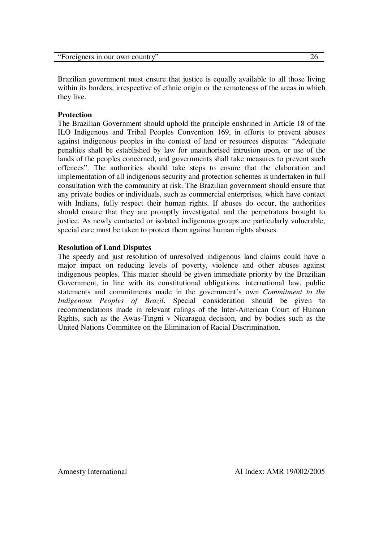| "Foreigners in our own country" |  |
|---------------------------------|--|
|                                 |  |

Brazilian government must ensure that justice is equally available to all those living within its borders, irrespective of ethnic origin or the remoteness of the areas in which they live.

#### **Protection**

The Brazilian Government should uphold the principle enshrined in Article 18 of the ILO Indigenous and Tribal Peoples Convention 169, in efforts to prevent abuses against indigenous peoples in the context of land or resources disputes: "Adequate penalties shall be established by law for unauthorised intrusion upon, or use of the lands of the peoples concerned, and governments shall take measures to prevent such offences". The authorities should take steps to ensure that the elaboration and implementation of all indigenous security and protection schemes is undertaken in full consultation with the community at risk. The Brazilian government should ensure that any private bodies or individuals, such as commercial enterprises, which have contact with Indians, fully respect their human rights. If abuses do occur, the authorities should ensure that they are promptly investigated and the perpetrators brought to justice. As newly contacted or isolated indigenous groups are particularly vulnerable, special care must be taken to protect them against human rights abuses.

#### **Resolution of Land Disputes**

The speedy and just resolution of unresolved indigenous land claims could have a major impact on reducing levels of poverty, violence and other abuses against indigenous peoples. This matter should be given immediate priority by the Brazilian Government, in line with its constitutional obligations, international law, public statements and commitments made in the government's own *Commitment to the Indigenous Peoples of Brazil*. Special consideration should be given to recommendations made in relevant rulings of the Inter-American Court of Human Rights, such as the Awas-Tingni v Nicaragua decision, and by bodies such as the United Nations Committee on the Elimination of Racial Discrimination.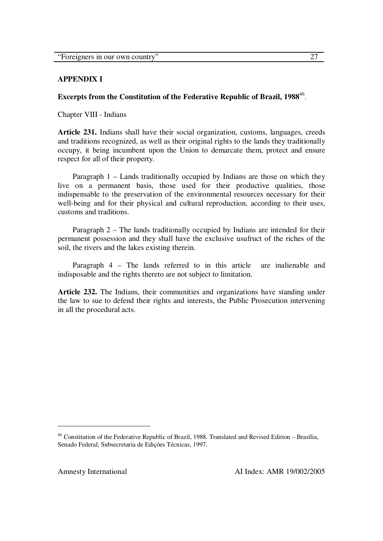#### **APPENDIX I**

#### **Excerpts from the Constitution of the Federative Republic of Brazil, 1988** 46 .

Chapter VIII - Indians

**Article 231.** Indians shall have their social organization, customs, languages, creeds and traditions recognized, as well as their original rights to the lands they traditionally occupy, it being incumbent upon the Union to demarcate them, protect and ensure respect for all of their property.

Paragraph 1 – Lands traditionally occupied by Indians are those on which they live on a permanent basis, those used for their productive qualities, those indispensable to the preservation of the environmental resources necessary for their well-being and for their physical and cultural reproduction, according to their uses, customs and traditions.

Paragraph 2 – The lands traditionally occupied by Indians are intended for their permanent possession and they shall have the exclusive usufruct of the riches of the soil, the rivers and the lakes existing therein.

Paragraph 4 – The lands referred to in this article are inalienable and indisposable and the rights thereto are not subject to limitation.

**Article 232.** The Indians, their communities and organizations have standing under the law to sue to defend their rights and interests, the Public Prosecution intervening in all the procedural acts.

<sup>46</sup> Constitution of the Federative Republic of Brazil, 1988. Translated and Revised Edition – Brasília, Senado Federal, Subsecretaria de Edições Técnicas, 1997.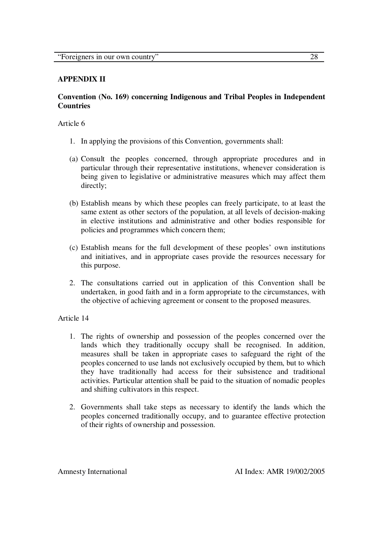#### **APPENDIX II**

#### **Convention (No. 169) concerning Indigenous and Tribal Peoples in Independent Countries**

Article 6

- 1. In applying the provisions of this Convention, governments shall:
- (a) Consult the peoples concerned, through appropriate procedures and in particular through their representative institutions, whenever consideration is being given to legislative or administrative measures which may affect them directly;
- (b) Establish means by which these peoples can freely participate, to at least the same extent as other sectors of the population, at all levels of decision-making in elective institutions and administrative and other bodies responsible for policies and programmes which concern them;
- (c) Establish means for the full development of these peoples' own institutions and initiatives, and in appropriate cases provide the resources necessary for this purpose.
- 2. The consultations carried out in application of this Convention shall be undertaken, in good faith and in a form appropriate to the circumstances, with the objective of achieving agreement or consent to the proposed measures.

Article 14

- 1. The rights of ownership and possession of the peoples concerned over the lands which they traditionally occupy shall be recognised. In addition, measures shall be taken in appropriate cases to safeguard the right of the peoples concerned to use lands not exclusively occupied by them, but to which they have traditionally had access for their subsistence and traditional activities. Particular attention shall be paid to the situation of nomadic peoples and shifting cultivators in this respect.
- 2. Governments shall take steps as necessary to identify the lands which the peoples concerned traditionally occupy, and to guarantee effective protection of their rights of ownership and possession.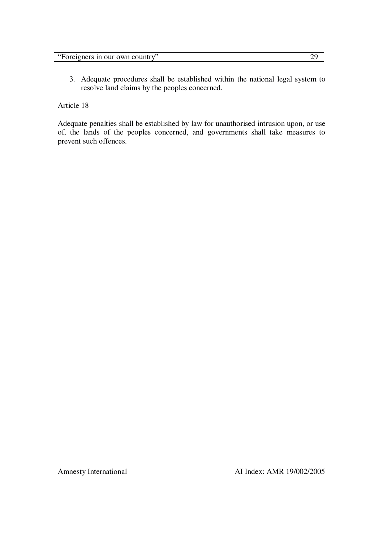3. Adequate procedures shall be established within the national legal system to resolve land claims by the peoples concerned.

#### Article 18

Adequate penalties shall be established by law for unauthorised intrusion upon, or use of, the lands of the peoples concerned, and governments shall take measures to prevent such offences.

Amnesty International AI Index: AMR 19/002/2005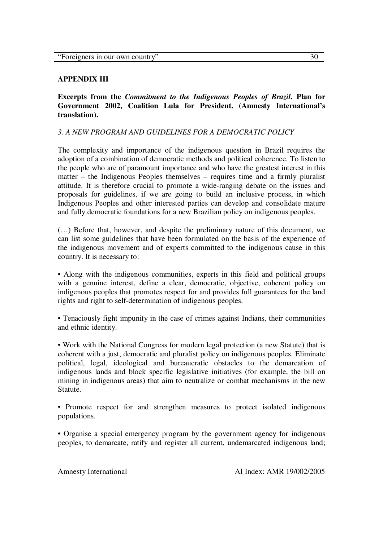#### **APPENDIX III**

**Excerpts from the** *Commitment to the Indigenous Peoples of Brazil***. Plan for Government 2002, Coalition Lula for President. (Amnesty International's translation).**

#### *3. A NEW PROGRAM AND GUIDELINES FOR A DEMOCRATIC POLICY*

The complexity and importance of the indigenous question in Brazil requires the adoption of a combination of democratic methods and political coherence. To listen to the people who are of paramount importance and who have the greatest interest in this matter – the Indigenous Peoples themselves – requires time and a firmly pluralist attitude. It is therefore crucial to promote a wide-ranging debate on the issues and proposals for guidelines, if we are going to build an inclusive process, in which Indigenous Peoples and other interested parties can develop and consolidate mature and fully democratic foundations for a new Brazilian policy on indigenous peoples.

(…) Before that, however, and despite the preliminary nature of this document, we can list some guidelines that have been formulated on the basis of the experience of the indigenous movement and of experts committed to the indigenous cause in this country. It is necessary to:

• Along with the indigenous communities, experts in this field and political groups with a genuine interest, define a clear, democratic, objective, coherent policy on indigenous peoples that promotes respect for and provides full guarantees for the land rights and right to self-determination of indigenous peoples.

• Tenaciously fight impunity in the case of crimes against Indians, their communities and ethnic identity.

• Work with the National Congress for modern legal protection (a new Statute) that is coherent with a just, democratic and pluralist policy on indigenous peoples. Eliminate political, legal, ideological and bureaucratic obstacles to the demarcation of indigenous lands and block specific legislative initiatives (for example, the bill on mining in indigenous areas) that aim to neutralize or combat mechanisms in the new Statute.

• Promote respect for and strengthen measures to protect isolated indigenous populations.

• Organise a special emergency program by the government agency for indigenous peoples, to demarcate, ratify and register all current, undemarcated indigenous land;